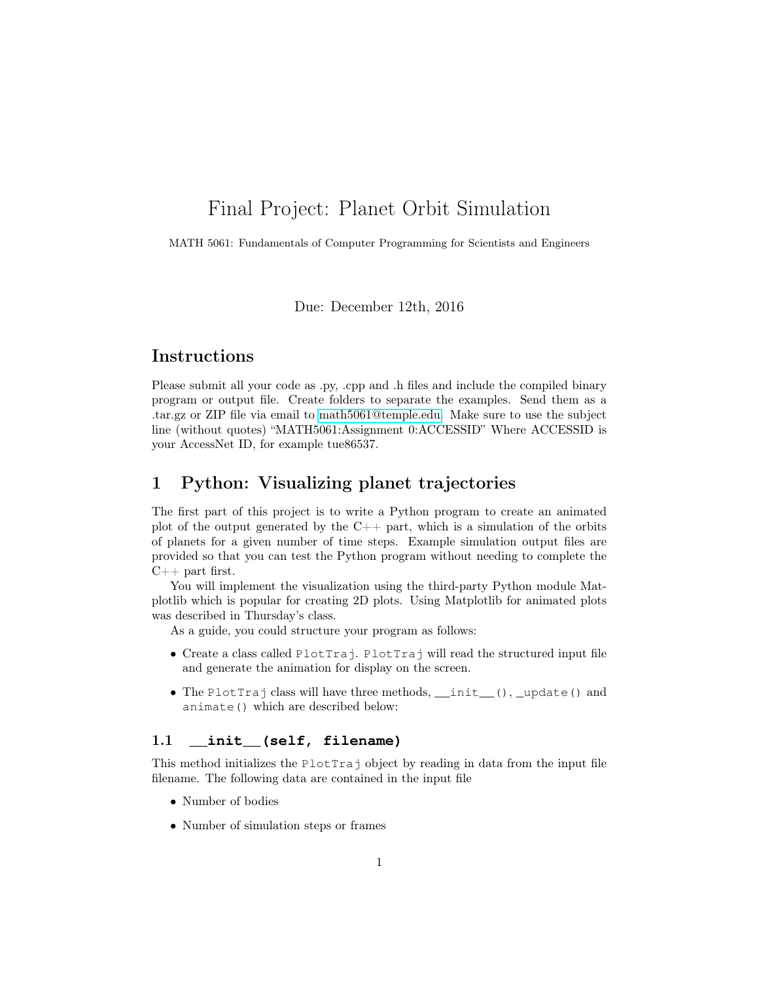# Final Project: Planet Orbit Simulation

MATH 5061: Fundamentals of Computer Programming for Scientists and Engineers

Due: December 12th, 2016

## Instructions

Please submit all your code as .py, .cpp and .h files and include the compiled binary program or output file. Create folders to separate the examples. Send them as a .tar.gz or ZIP file via email to [math5061@temple.edu.](mailto:math5061@temple.edu) Make sure to use the subject line (without quotes) "MATH5061:Assignment 0:ACCESSID" Where ACCESSID is your AccessNet ID, for example tue86537.

# 1 Python: Visualizing planet trajectories

The first part of this project is to write a Python program to create an animated plot of the output generated by the  $C_{++}$  part, which is a simulation of the orbits of planets for a given number of time steps. Example simulation output files are provided so that you can test the Python program without needing to complete the  $C++$  part first.

You will implement the visualization using the third-party Python module Matplotlib which is popular for creating 2D plots. Using Matplotlib for animated plots was described in Thursday's class.

As a guide, you could structure your program as follows:

- Create a class called PlotTraj. PlotTraj will read the structured input file and generate the animation for display on the screen.
- The PlotTraj class will have three methods, \_\_init\_(), \_update() and animate() which are described below:

## 1.1 **\_\_init\_\_(self, filename)**

This method initializes the PlotTraj object by reading in data from the input file filename. The following data are contained in the input file

- Number of bodies
- Number of simulation steps or frames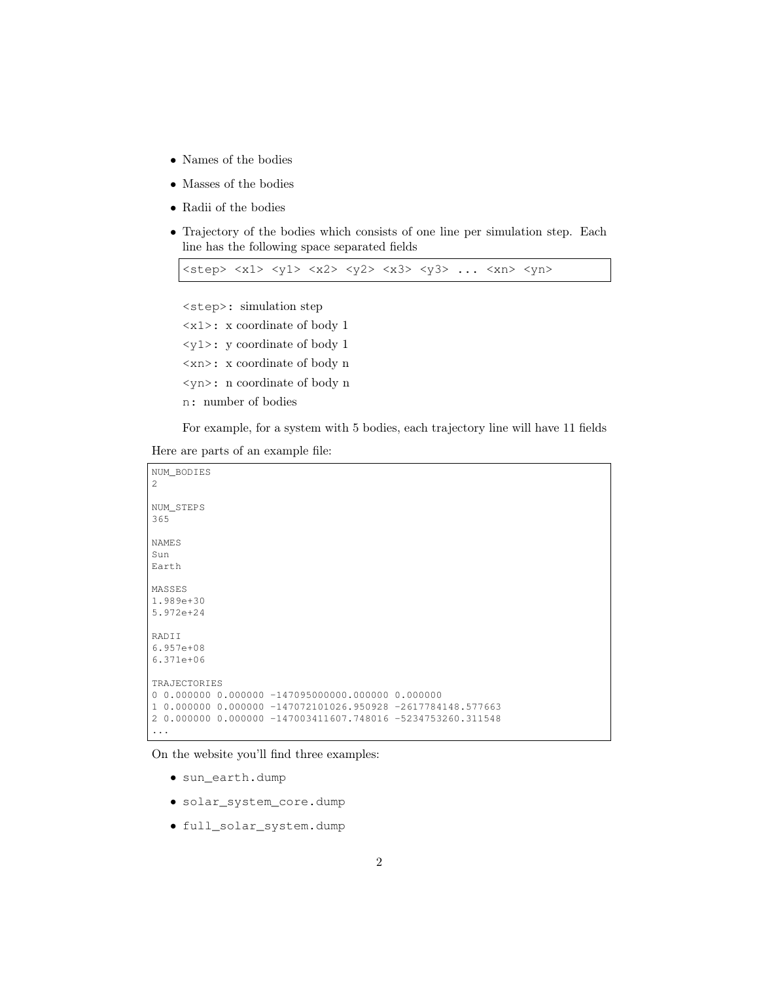- Names of the bodies
- Masses of the bodies
- Radii of the bodies
- Trajectory of the bodies which consists of one line per simulation step. Each line has the following space separated fields

 $\langle$ step>  $\langle x1 \rangle$   $\langle y1 \rangle$   $\langle x2 \rangle$   $\langle y2 \rangle$   $\langle x3 \rangle$   $\langle y3 \rangle$  ...  $\langle xn \rangle$   $\langle yn \rangle$ 

<step>: simulation step <x1>: x coordinate of body 1 <y1>: y coordinate of body 1

<xn>: x coordinate of body n

<yn>: n coordinate of body n

n: number of bodies

For example, for a system with 5 bodies, each trajectory line will have 11 fields

Here are parts of an example file:

```
NUM_BODIES
2
NUM_STEPS
365
NAMES
Sun
Earth
MASSES
1.989e+30
5.972e+24
RADII
6.957e+08
6.371e+06
TRAJECTORIES
0 \quad 0.000000 \quad 0.000000 \quad -147095000000 \cdot 000000 \quad 0.0000001 0.000000 0.000000 -147072101026.950928 -2617784148.577663
2 0.000000 0.000000 -147003411607.748016 -5234753260.311548
...
```
On the website you'll find three examples:

- sun\_earth.dump
- solar\_system\_core.dump
- full\_solar\_system.dump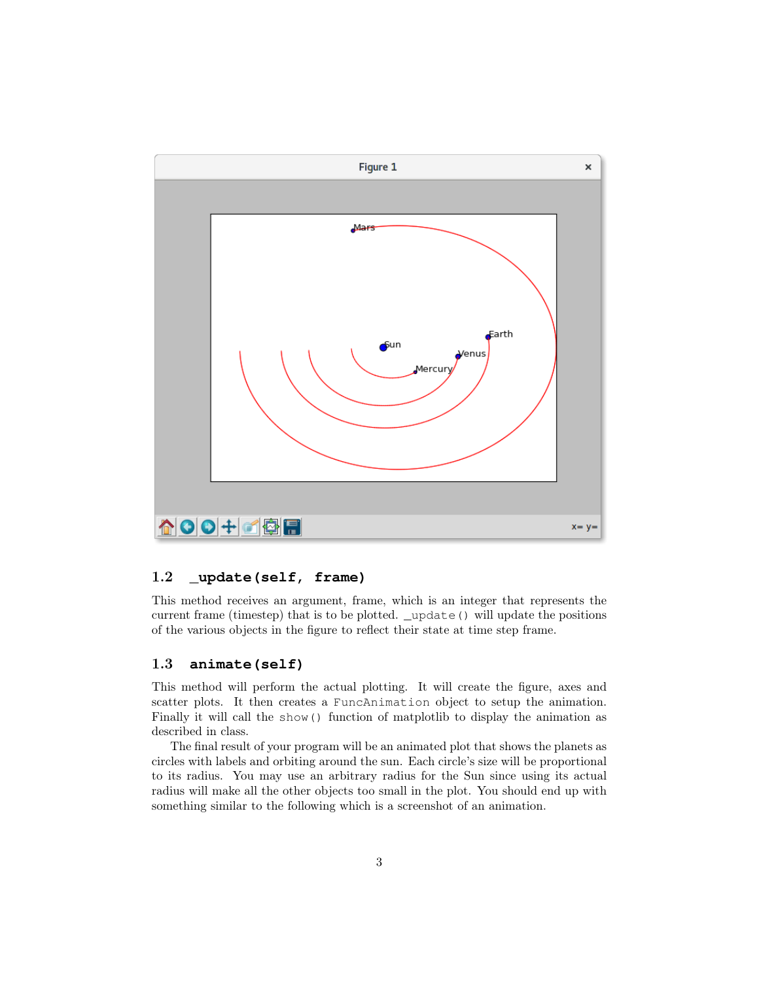

## 1.2 **\_update(self, frame)**

This method receives an argument, frame, which is an integer that represents the current frame (timestep) that is to be plotted. \_update() will update the positions of the various objects in the figure to reflect their state at time step frame.

## 1.3 **animate(self)**

This method will perform the actual plotting. It will create the figure, axes and scatter plots. It then creates a FuncAnimation object to setup the animation. Finally it will call the show() function of matplotlib to display the animation as described in class.

The final result of your program will be an animated plot that shows the planets as circles with labels and orbiting around the sun. Each circle's size will be proportional to its radius. You may use an arbitrary radius for the Sun since using its actual radius will make all the other objects too small in the plot. You should end up with something similar to the following which is a screenshot of an animation.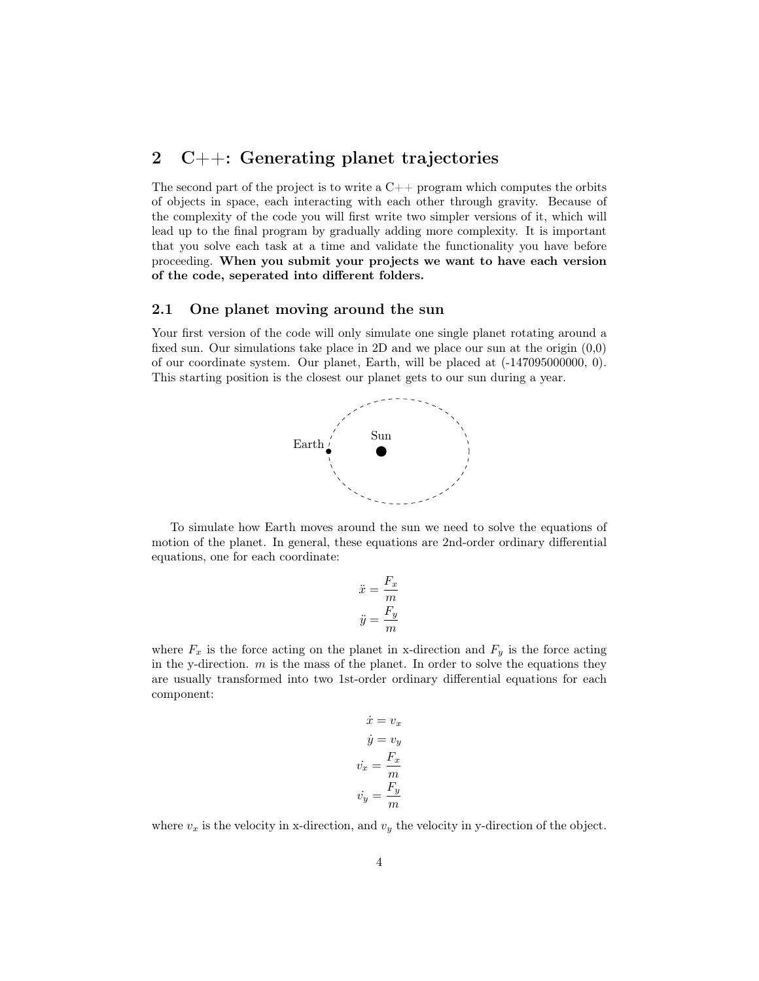## 2 C++: Generating planet trajectories

The second part of the project is to write a  $C_{++}$  program which computes the orbits of objects in space, each interacting with each other through gravity. Because of the complexity of the code you will first write two simpler versions of it, which will lead up to the final program by gradually adding more complexity. It is important that you solve each task at a time and validate the functionality you have before proceeding. When you submit your projects we want to have each version of the code, seperated into different folders.

#### 2.1 One planet moving around the sun

Your first version of the code will only simulate one single planet rotating around a fixed sun. Our simulations take place in 2D and we place our sun at the origin (0,0) of our coordinate system. Our planet, Earth, will be placed at (-147095000000, 0). This starting position is the closest our planet gets to our sun during a year.



To simulate how Earth moves around the sun we need to solve the equations of motion of the planet. In general, these equations are 2nd-order ordinary differential equations, one for each coordinate:

$$
\ddot{x} = \frac{F_x}{m}
$$

$$
\ddot{y} = \frac{F_y}{m}
$$

where  $F_x$  is the force acting on the planet in x-direction and  $F_y$  is the force acting in the y-direction.  $m$  is the mass of the planet. In order to solve the equations they are usually transformed into two 1st-order ordinary differential equations for each component:

$$
\dot{x} = v_x
$$

$$
\dot{y} = v_y
$$

$$
\dot{v_x} = \frac{F_x}{m}
$$

$$
\dot{v_y} = \frac{F_y}{m}
$$

where  $v_x$  is the velocity in x-direction, and  $v_y$  the velocity in y-direction of the object.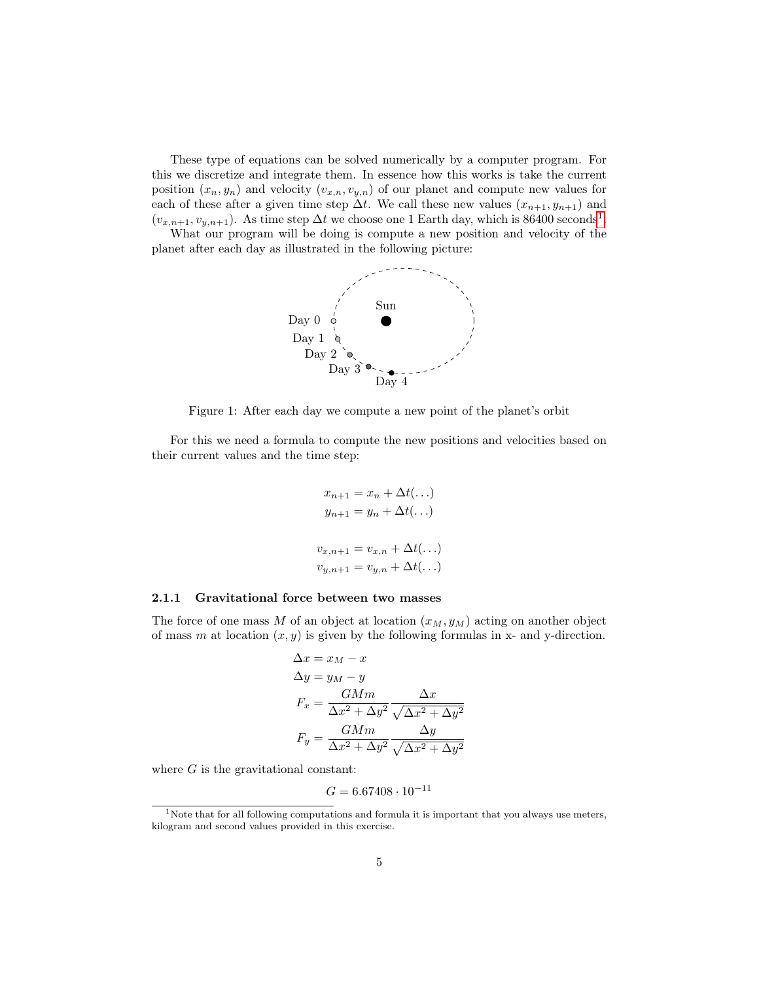These type of equations can be solved numerically by a computer program. For this we discretize and integrate them. In essence how this works is take the current position  $(x_n, y_n)$  and velocity  $(v_{x,n}, v_{y,n})$  of our planet and compute new values for each of these after a given time step  $\Delta t$ . We call these new values  $(x_{n+1}, y_{n+1})$  and  $(v_{x,n+1}, v_{y,n+1})$  $(v_{x,n+1}, v_{y,n+1})$  $(v_{x,n+1}, v_{y,n+1})$ . As time step  $\Delta t$  we choose one 1 Earth day, which is 86400 seconds<sup>1</sup>.

What our program will be doing is compute a new position and velocity of the planet after each day as illustrated in the following picture:



Figure 1: After each day we compute a new point of the planet's orbit

For this we need a formula to compute the new positions and velocities based on their current values and the time step:

$$
x_{n+1} = x_n + \Delta t(\ldots)
$$
  
\n
$$
y_{n+1} = y_n + \Delta t(\ldots)
$$
  
\n
$$
v_{x,n+1} = v_{x,n} + \Delta t(\ldots)
$$
  
\n
$$
v_{y,n+1} = v_{y,n} + \Delta t(\ldots)
$$

#### 2.1.1 Gravitational force between two masses

The force of one mass M of an object at location  $(x_M, y_M)$  acting on another object of mass m at location  $(x, y)$  is given by the following formulas in x- and y-direction.

$$
\Delta x = x_M - x
$$
  
\n
$$
\Delta y = y_M - y
$$
  
\n
$$
F_x = \frac{GMm}{\Delta x^2 + \Delta y^2} \frac{\Delta x}{\sqrt{\Delta x^2 + \Delta y^2}}
$$
  
\n
$$
F_y = \frac{GMm}{\Delta x^2 + \Delta y^2} \frac{\Delta y}{\sqrt{\Delta x^2 + \Delta y^2}}
$$

where  $G$  is the gravitational constant:

$$
G = 6.67408 \cdot 10^{-11}
$$

<span id="page-4-0"></span><sup>&</sup>lt;sup>1</sup>Note that for all following computations and formula it is important that you always use meters, kilogram and second values provided in this exercise.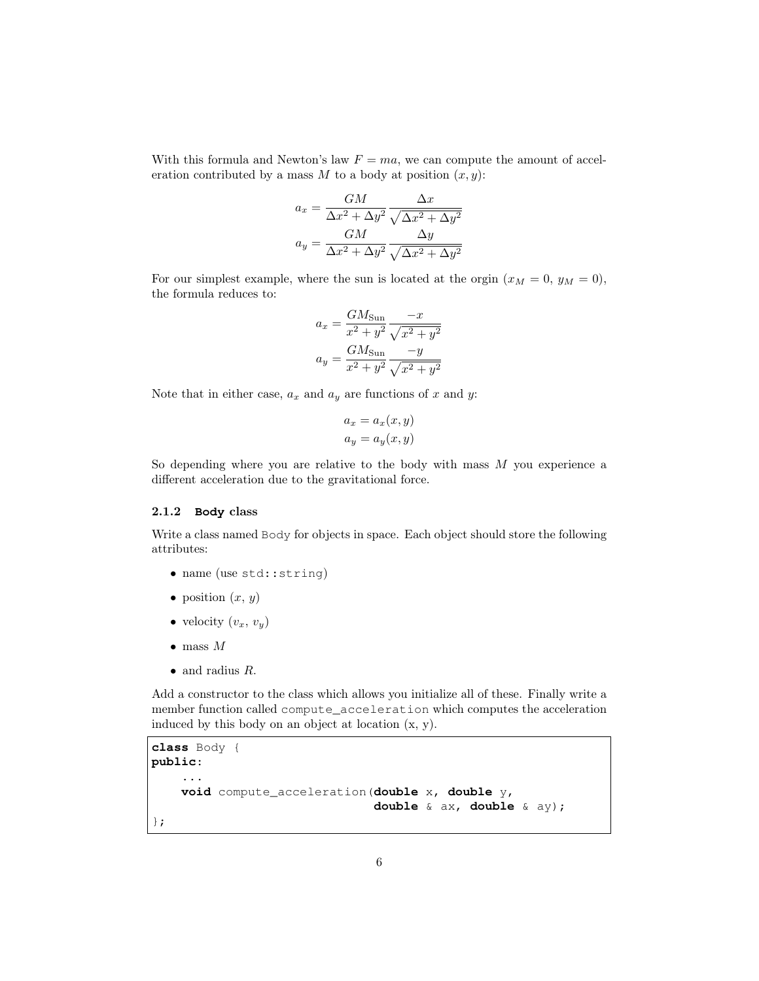With this formula and Newton's law  $F = ma$ , we can compute the amount of acceleration contributed by a mass M to a body at position  $(x, y)$ :

$$
a_x = \frac{GM}{\Delta x^2 + \Delta y^2} \frac{\Delta x}{\sqrt{\Delta x^2 + \Delta y^2}}
$$

$$
a_y = \frac{GM}{\Delta x^2 + \Delta y^2} \frac{\Delta y}{\sqrt{\Delta x^2 + \Delta y^2}}
$$

For our simplest example, where the sun is located at the orgin  $(x_M = 0, y_M = 0)$ , the formula reduces to:

$$
a_x = \frac{GM_{\text{Sun}}}{x^2 + y^2} \frac{-x}{\sqrt{x^2 + y^2}}
$$

$$
a_y = \frac{GM_{\text{Sun}}}{x^2 + y^2} \frac{-y}{\sqrt{x^2 + y^2}}
$$

Note that in either case,  $a_x$  and  $a_y$  are functions of x and y:

$$
a_x = a_x(x, y)
$$
  

$$
a_y = a_y(x, y)
$$

So depending where you are relative to the body with mass  $M$  you experience a different acceleration due to the gravitational force.

#### 2.1.2 **Body** class

Write a class named Body for objects in space. Each object should store the following attributes:

- name (use std::string)
- position  $(x, y)$
- velocity  $(v_x, v_y)$
- $\bullet$  mass M
- $\bullet$  and radius  $R$ .

Add a constructor to the class which allows you initialize all of these. Finally write a member function called compute\_acceleration which computes the acceleration induced by this body on an object at location (x, y).

```
class Body {
public:
    ...
    void compute_acceleration(double x, double y,
                               double & ax, double & ay);
};
```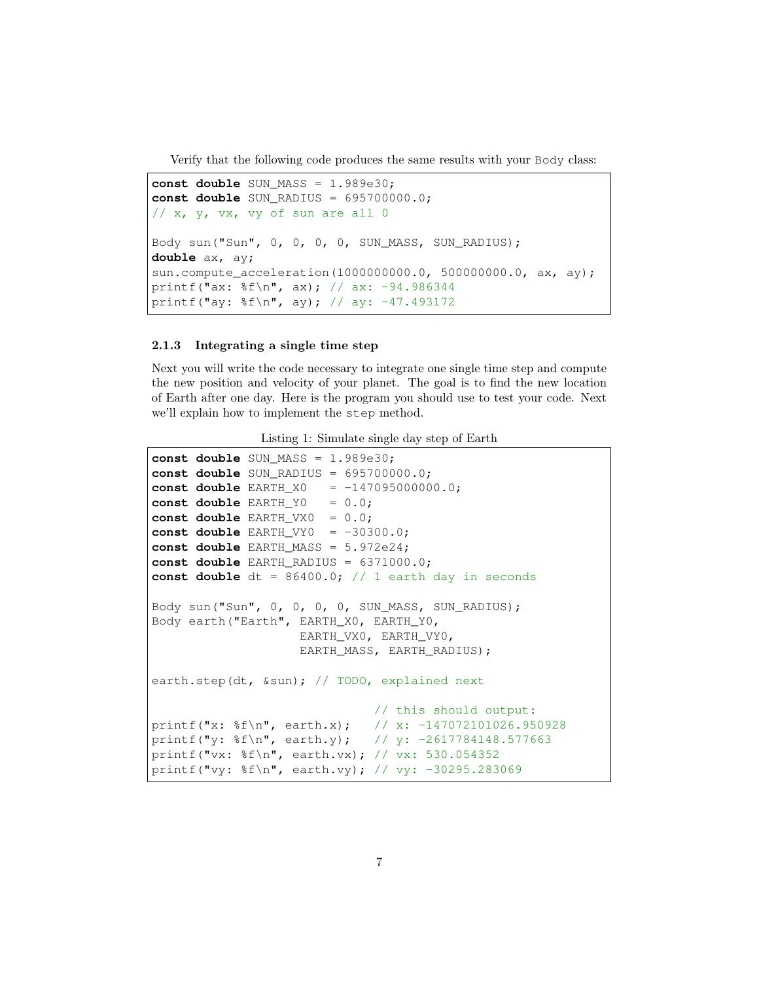Verify that the following code produces the same results with your Body class:

```
const double SUN_MASS = 1.989e30;
const double SUN_RADIUS = 695700000.0;
1/x, v, vx, vy of sun are all 0
Body sun("Sun", 0, 0, 0, 0, SUN_MASS, SUN_RADIUS);
double ax, ay;
sun.compute_acceleration(1000000000.0, 500000000.0, ax, ay);
printf("ax: %f\n", ax); // ax: -94.986344
printf("ay: %f\n", ay); // ay: -47.493172
```
#### 2.1.3 Integrating a single time step

Next you will write the code necessary to integrate one single time step and compute the new position and velocity of your planet. The goal is to find the new location of Earth after one day. Here is the program you should use to test your code. Next we'll explain how to implement the step method.

|  | Listing 1: Simulate single day step of Earth |  |  |  |
|--|----------------------------------------------|--|--|--|
|  |                                              |  |  |  |

```
const double SUN MASS = 1.989e30;
const double SUN_RADIUS = 695700000.0;
const double EARTH X0 = -147095000000.0;
const double EARTH_Y0 = 0.0;
const double EARTH_VX0 = 0.0;
const double EARTH_VY0 = -30300.0;
const double EARTH_MASS = 5.972e24;
const double EARTH_RADIUS = 6371000.0;
const double dt = 86400.0; // 1 earth day in seconds
Body sun("Sun", 0, 0, 0, 0, SUN_MASS, SUN_RADIUS);
Body earth("Earth", EARTH_X0, EARTH_Y0,
                    EARTH_VX0, EARTH_VY0,
                    EARTH_MASS, EARTH_RADIUS);
earth.step(dt, &sun); // TODO, explained next
                              // this should output:
printf("x: %f\n", earth.x); // x: -147072101026.950928
printf("y: %f\n", earth.y); // y: -2617784148.577663
printf("vx: %f\n", earth.vx); // vx: 530.054352
printf("vy: %f\n", earth.vy); // vy: -30295.283069
```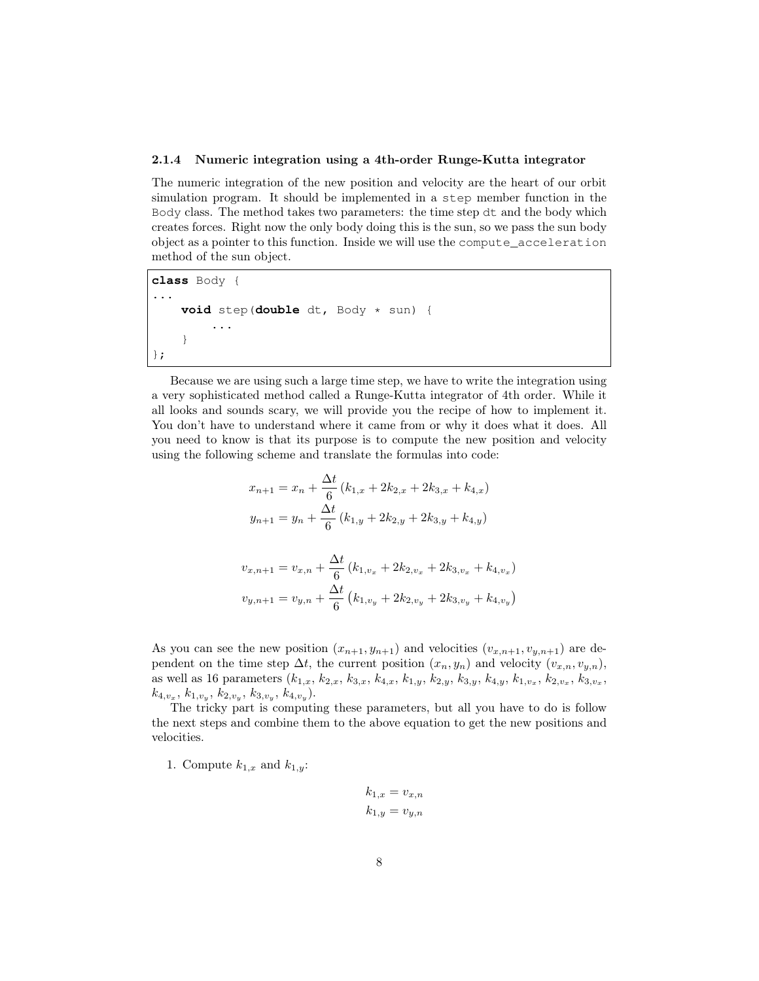### 2.1.4 Numeric integration using a 4th-order Runge-Kutta integrator

The numeric integration of the new position and velocity are the heart of our orbit simulation program. It should be implemented in a step member function in the Body class. The method takes two parameters: the time step dt and the body which creates forces. Right now the only body doing this is the sun, so we pass the sun body object as a pointer to this function. Inside we will use the compute\_acceleration method of the sun object.

**class** Body { ... **void** step(**double** dt, Body \* sun) { ... } };

Because we are using such a large time step, we have to write the integration using a very sophisticated method called a Runge-Kutta integrator of 4th order. While it all looks and sounds scary, we will provide you the recipe of how to implement it. You don't have to understand where it came from or why it does what it does. All you need to know is that its purpose is to compute the new position and velocity using the following scheme and translate the formulas into code:

$$
x_{n+1} = x_n + \frac{\Delta t}{6} (k_{1,x} + 2k_{2,x} + 2k_{3,x} + k_{4,x})
$$
  

$$
y_{n+1} = y_n + \frac{\Delta t}{6} (k_{1,y} + 2k_{2,y} + 2k_{3,y} + k_{4,y})
$$

$$
v_{x,n+1} = v_{x,n} + \frac{\Delta t}{6} (k_{1,v_x} + 2k_{2,v_x} + 2k_{3,v_x} + k_{4,v_x})
$$
  

$$
v_{y,n+1} = v_{y,n} + \frac{\Delta t}{6} (k_{1,v_y} + 2k_{2,v_y} + 2k_{3,v_y} + k_{4,v_y})
$$

As you can see the new position  $(x_{n+1}, y_{n+1})$  and velocities  $(v_{x,n+1}, v_{y,n+1})$  are dependent on the time step  $\Delta t$ , the current position  $(x_n, y_n)$  and velocity  $(v_{x,n}, v_{y,n})$ , as well as 16 parameters  $(k_{1,x}, k_{2,x}, k_{3,x}, k_{4,x}, k_{1,y}, k_{2,y}, k_{3,y}, k_{4,y}, k_{1,v_x}, k_{2,v_x}, k_{3,v_x}$ ,  $k_{4,v_x}, k_{1,v_y}, k_{2,v_y}, k_{3,v_y}, k_{4,v_y}).$ 

The tricky part is computing these parameters, but all you have to do is follow the next steps and combine them to the above equation to get the new positions and velocities.

1. Compute  $k_{1,x}$  and  $k_{1,y}$ :

$$
k_{1,x} = v_{x,n}
$$

$$
k_{1,y} = v_{y,n}
$$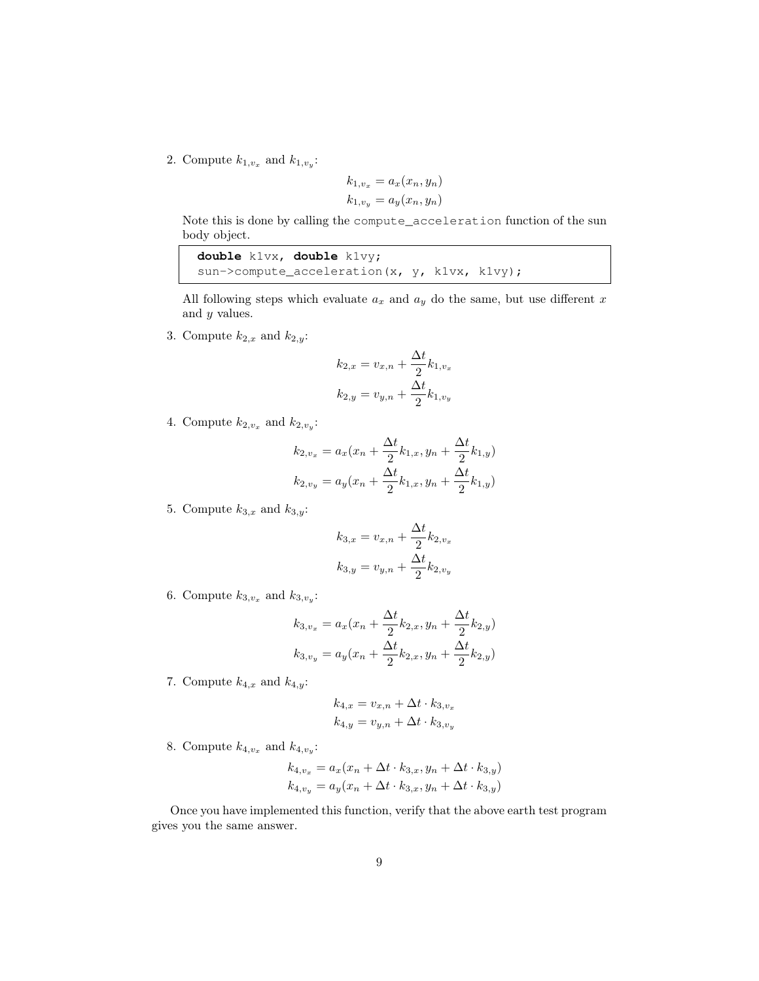2. Compute  $k_{1,v_x}$  and  $k_{1,v_y}$ :

$$
k_{1,v_x} = a_x(x_n, y_n)
$$
  

$$
k_{1,v_y} = a_y(x_n, y_n)
$$

Note this is done by calling the compute\_acceleration function of the sun body object.

| double $k1vx$ , double $k1vy$ ;                  |  |  |
|--------------------------------------------------|--|--|
| sun->compute acceleration $(x, y, k1vx, k1vy)$ ; |  |  |

All following steps which evaluate  $a_x$  and  $a_y$  do the same, but use different x and y values.

3. Compute  $k_{2,x}$  and  $k_{2,y}$ :

$$
k_{2,x} = v_{x,n} + \frac{\Delta t}{2} k_{1,v_x}
$$

$$
k_{2,y} = v_{y,n} + \frac{\Delta t}{2} k_{1,v_y}
$$

4. Compute  $k_{2,v_x}$  and  $k_{2,v_y}$ :

$$
k_{2,v_x} = a_x(x_n + \frac{\Delta t}{2}k_{1,x}, y_n + \frac{\Delta t}{2}k_{1,y})
$$
  

$$
k_{2,v_y} = a_y(x_n + \frac{\Delta t}{2}k_{1,x}, y_n + \frac{\Delta t}{2}k_{1,y})
$$

5. Compute  $k_{3,x}$  and  $k_{3,y}$ :

$$
k_{3,x} = v_{x,n} + \frac{\Delta t}{2} k_{2,v_x}
$$

$$
k_{3,y} = v_{y,n} + \frac{\Delta t}{2} k_{2,v_y}
$$

6. Compute  $k_{3,v_x}$  and  $k_{3,v_y}$ :

$$
k_{3,v_x} = a_x(x_n + \frac{\Delta t}{2}k_{2,x}, y_n + \frac{\Delta t}{2}k_{2,y})
$$
  

$$
k_{3,v_y} = a_y(x_n + \frac{\Delta t}{2}k_{2,x}, y_n + \frac{\Delta t}{2}k_{2,y})
$$

7. Compute  $k_{4,x}$  and  $k_{4,y}$ :

$$
k_{4,x} = v_{x,n} + \Delta t \cdot k_{3,v_x}
$$
  

$$
k_{4,y} = v_{y,n} + \Delta t \cdot k_{3,v_y}
$$

8. Compute  $k_{4,v_x}$  and  $k_{4,v_y}$ :

$$
k_{4,v_x} = a_x(x_n + \Delta t \cdot k_{3,x}, y_n + \Delta t \cdot k_{3,y})
$$
  

$$
k_{4,v_y} = a_y(x_n + \Delta t \cdot k_{3,x}, y_n + \Delta t \cdot k_{3,y})
$$

Once you have implemented this function, verify that the above earth test program gives you the same answer.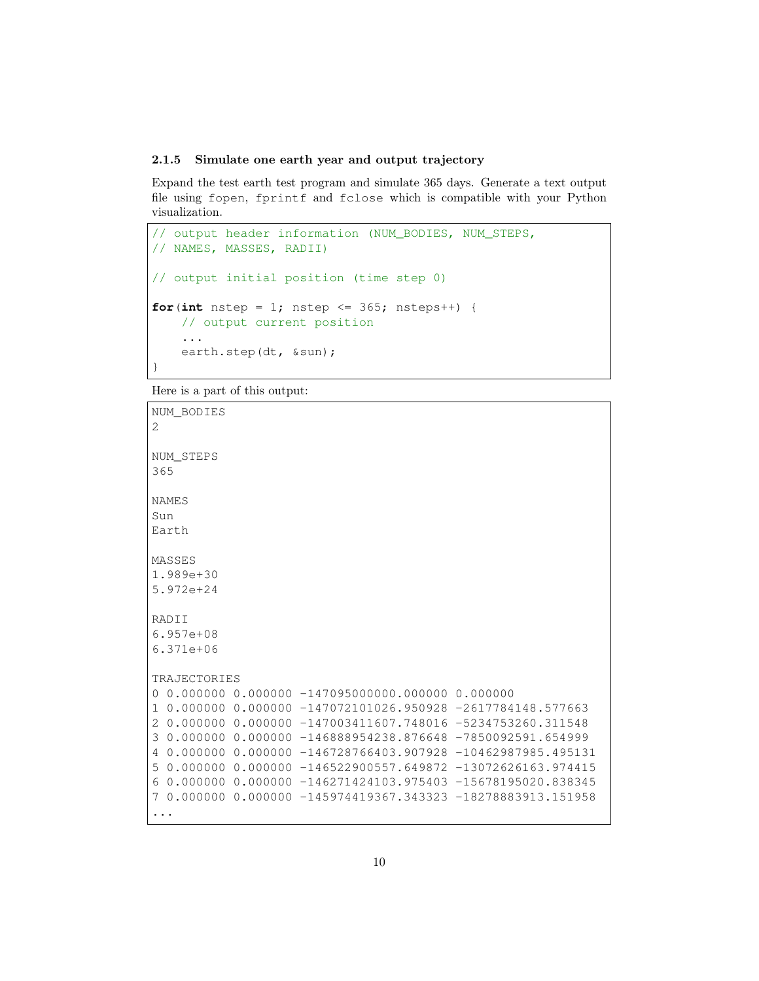#### 2.1.5 Simulate one earth year and output trajectory

Expand the test earth test program and simulate 365 days. Generate a text output file using fopen, fprintf and fclose which is compatible with your Python visualization.

```
// output header information (NUM_BODIES, NUM_STEPS,
// NAMES, MASSES, RADII)
// output initial position (time step 0)
for(int nstep = 1; nstep \le 365; nsteps++) {
    // output current position
    ...
    earth.step(dt, &sun);
}
```
Here is a part of this output:

```
NUM_BODIES
2
NUM_STEPS
365
NAMES
Sun
Earth
MASSES
1.989e+30
5.972e+24
RADII
6.957e+08
6.371e+06
TRAJECTORIES
0 0.000000 0.000000 -147095000000.000000 0.000000
1 0.000000 0.000000 -147072101026.950928 -2617784148.577663
2 0.000000 0.000000 -147003411607.748016 -5234753260.311548
3 0.000000 0.000000 -146888954238.876648 -7850092591.654999
4 0.000000 0.000000 -146728766403.907928 -10462987985.495131
5 0.000000 0.000000 -146522900557.649872 -13072626163.974415
6 0.000000 0.000000 -146271424103.975403 -15678195020.838345
7 0.000000 0.000000 -145974419367.343323 -18278883913.151958
...
```